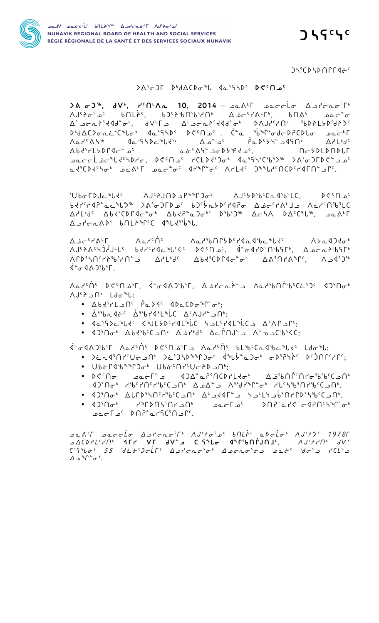

 $J\mathcal{H}^{c}$ 

 $J\mathcal{L}^{\mathcal{E}}$ CD $\mathcal{L}$ D $\mathcal{L}$ CD $\mathcal{L}$ D $\mathcal{L}$ CD $\mathcal{L}$ 

## $\lambda^6 \sigma$ )  $\lambda^6 \sigma$ )  $\lambda^6$   $\lambda^6$   $\lambda^6$   $\sigma^8$

 $\lambda \delta \sigma 2^{56}$ ,  $dV^6$ ,  $I^c \Omega^c \Lambda c$  10, 2014 -  $\Omega \Omega^c$   $\Omega$  $\Lambda J^c$ )  $\sigma^c \sigma^c$  bnLic, b) $\Omega^c$ ) bn bn bn bn bn boc bn bn boc o  $\Lambda$ ar<sup>1</sup>  $\Lambda$ h 1995 - 1997 - 1998 - 1999 - 1999 - 1999 - 1999 - 1999 - 1999 - 1999 - 1999 - 1999 - 1999 - 1999 - 1  $\nabla$ y  $\Gamma_P$ q $\subset$ عصد حافظ المعامل المعامل المعامل المعامل المعامل المعامل المعامل المعامل المعامل المعامل المعامل الم مر<sup>و</sup>29/14-16 - معدار معده من من المواصور UIX-19/20 - المواصور المعنى المن المعنى المعنى المعنى المعنى المعنى ا

UborDJc<sup>%</sup>Ld<sup>c</sup>  $\Lambda J^c$ ት $J \cap D \subset P^* {^{\circ}}$ ገ $\sigma^{\flat}$  ለ $J^c J \circ D^c$ ն $C \cap J^c J \circ D^c$   $C \cap J^c$  $\Delta$ /Lbdc  $\Delta b$ ds(DPC) $\Delta c^*$   $\Delta b$ dd $\Delta c^*$   $\Delta b$ dd,  $\Delta c$ ,  $\Delta b$ d,  $\Delta c$ d,  $\Delta c$  $\Delta I - I - \Delta \Delta V^c \quad b \cap L \Delta^b \Gamma^c C \quad d^b L \Delta^{c c} b^b L.$ 

۸۵، ۲۵ م بر ۱۵<br>۸  $\Lambda$ مرا $\Lambda$ ه (۱۳۵۰) ۹۲۹ مر $\Lambda$ هرا $\Lambda$ هرا $\Lambda$ هرا $\Lambda$ هرا $\Lambda$ هرا $\Lambda$ هرا ∆ غ⊂`۲∆۲ ᠴᠥ᠊᠇᠄ᡢ᠂᠋᠂᠂᠂᠈᠖ᡕ᠋᠋᠂᠂<br>᠕ᡁ᠄ᢣ᠗ᡕᡏ᠔ᡃᡁ᠘ᠮᡁ᠌᠅᠖ᢣᠰ᠙ᢣ᠐ᢄ᠂᠐ᢞ᠅᠕ᢍᡗ᠂᠗ᡙ᠅ᠷ᠅ᠰᠥᡗᡰᡐ᠖ᡗᡰ᠅ᡗᡳᢣ᠇ᡅᢂᢣᡉ᠅ᡌᡇ᠅ᡆᡗ᠉  $\dot{P}^{\circ} \sigma$  $\left\{ \Lambda \right.}$  $\dot{P}^{\circ} \Gamma$ .

٨م١٠٤٢ ١٩٤٠م، ٢٠ م ١٩٠٥م، ٢٠ م ١٩٠٤ م ١٩٠٥م، ٢٠ م ١٩٠٥م، ٢٠ م ١٩٩٠م، ٢٠ م ١٩٩٠م، ٢٠ م ١٩٩٠م، ٢٠ م ١٩ NJCA J<sup>6</sup> Ldo<sup>n</sup>

- $\bullet$   $\Delta b\langle ^5rL \supset \bigcap ^{6}$   $\phi \in D\{ ^6 \cup 4D \subset C\}$  on  $\cap ^{6}$  on:
- $\bullet$   $\Delta$ <sup>55</sup>bc d =  $\sim$   $\Delta$ 55brds L  $\circ$  L  $\sim$   $\sim$   $\sim$   $\sim$   $\sim$   $\sim$   $\sim$   $\cdot$ ;
- 
- : C<sup>6</sup>۲۲) د ۳۵۰ د کلمانکه که ۲۰و۲ میلاد کارگاه ۴۰۰ د ۲۵۰و۲ و

J<sup>a</sup>o Jan'il' Achiche Dechair - Achiche Blibic Laburbi - Achiche Blibic Laburbi - Jan

- )خىم ئەكارىلىك بەر ئەكبەلگە ئەرابۇ ئەرەبەر ئەنگىلەر ئەربۇر بەر ئەنگىلەر ئەنگەن ئەنگەن ئەنگەن ئەنگەن ئەنگەن ئ
- **Ub**&r4ib&&r)& Ub&cnrcUcAD -nb;
- 
- 
- <sup>٠</sup> ۹)<sup>،</sup>۱۵-۹۶۵،۰۰۰ ۹۵-۲۵٬۰۰۰ می می در ۱۵<sup>۰</sup>۰ ۹۵٬۲۵۰ ۰ ۹۵٬۲۵۰ ۰ ـ ۲۹ د ۲۹ کا۲۵ ۵ تا ۲۰ میل میل ۲ میل ۲ میلاد .

pan'i paccio Apicnosio Aditoso balis adcios Aditas 1978 **ACDYLSYN' AFY VF JVS C SALO JAPADRINJS.** AJSYN' JVS  $C^{5}S^{a}b\sigma^{b}$ 55  $^{5}d\dot{\sigma}^{c}D\sigma L\Gamma^{b}$   $\Delta D\Gamma\sigma^{5}\sigma^{b}$   $\Delta D\sigma\pi\sigma^{5}\sigma^{c}$   $\Delta D\sigma^{c}$  $\Delta \triangle^{\circ} \wedge^{\circ} \sigma^b$ .